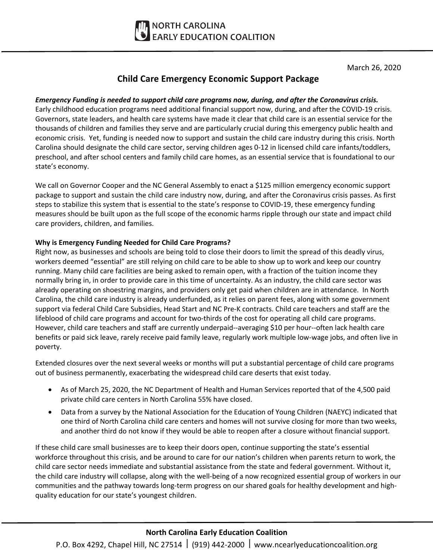

March 26, 2020

## **Child Care Emergency Economic Support Package**

#### *Emergency Funding is needed to support child care programs now, during, and after the Coronavirus crisis.*

Early childhood education programs need additional financial support now, during, and after the COVID-19 crisis. Governors, state leaders, and health care systems have made it clear that child care is an essential service for the thousands of children and families they serve and are particularly crucial during this emergency public health and economic crisis. Yet, funding is needed now to support and sustain the child care industry during this crisis. North Carolina should designate the child care sector, serving children ages 0-12 in licensed child care infants/toddlers, preschool, and after school centers and family child care homes, as an essential service that is foundational to our state's economy.

We call on Governor Cooper and the NC General Assembly to enact a \$125 million emergency economic support package to support and sustain the child care industry now, during, and after the Coronavirus crisis passes. As first steps to stabilize this system that is essential to the state's response to COVID-19, these emergency funding measures should be built upon as the full scope of the economic harms ripple through our state and impact child care providers, children, and families.

#### **Why is Emergency Funding Needed for Child Care Programs?**

Right now, as businesses and schools are being told to close their doors to limit the spread of this deadly virus, workers deemed "essential" are still relying on child care to be able to show up to work and keep our country running. Many child care facilities are being asked to remain open, with a fraction of the tuition income they normally bring in, in order to provide care in this time of uncertainty. As an industry, the child care sector was already operating on shoestring margins, and providers only get paid when children are in attendance. In North Carolina, the child care industry is already underfunded, as it relies on parent fees, along with some government support via federal Child Care Subsidies, Head Start and NC Pre-K contracts. Child care teachers and staff are the lifeblood of child care programs and account for two-thirds of the cost for operating all child care programs. However, child care teachers and staff are currently underpaid--averaging \$10 per hour--often lack health care benefits or paid sick leave, rarely receive paid family leave, regularly work multiple low-wage jobs, and often live in poverty.

Extended closures over the next several weeks or months will put a substantial percentage of child care programs out of business permanently, exacerbating the widespread child care deserts that exist today.

- As of March 25, 2020, the NC Department of Health and Human Services reported that of the 4,500 paid private child care centers in North Carolina 55% have closed.
- Data from a survey by the National Association for the Education of Young Children (NAEYC) indicated that one third of North Carolina child care centers and homes will not survive closing for more than two weeks, and another third do not know if they would be able to reopen after a closure without financial support.

If these child care small businesses are to keep their doors open, continue supporting the state's essential workforce throughout this crisis, and be around to care for our nation's children when parents return to work, the child care sector needs immediate and substantial assistance from the state and federal government. Without it, the child care industry will collapse, along with the well-being of a now recognized essential group of workers in our communities and the pathway towards long-term progress on our shared goals for healthy development and highquality education for our state's youngest children.

## **North Carolina Early Education Coalition**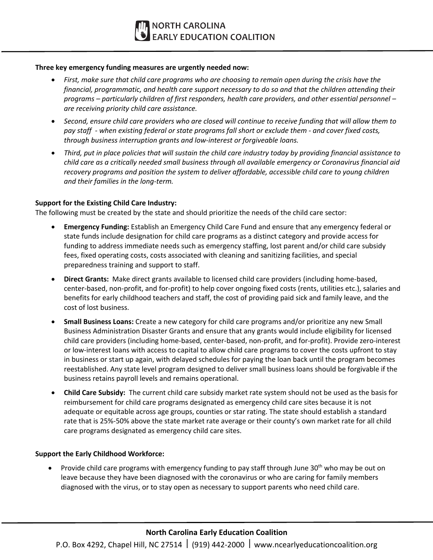#### **Three key emergency funding measures are urgently needed now:**

- *First, make sure that child care programs who are choosing to remain open during the crisis have the financial, programmatic, and health care support necessary to do so and that the children attending their programs – particularly children of first responders, health care providers, and other essential personnel – are receiving priority child care assistance.*
- *Second, ensure child care providers who are closed will continue to receive funding that will allow them to pay staff - when existing federal or state programs fall short or exclude them - and cover fixed costs, through business interruption grants and low-interest or forgiveable loans.*
- *Third, put in place policies that will sustain the child care industry today by providing financial assistance to child care as a critically needed small business through all available emergency or Coronavirus financial aid recovery programs and position the system to deliver affordable, accessible child care to young children and their families in the long-term.*

#### **Support for the Existing Child Care Industry:**

The following must be created by the state and should prioritize the needs of the child care sector:

- **Emergency Funding:** Establish an Emergency Child Care Fund and ensure that any emergency federal or state funds include designation for child care programs as a distinct category and provide access for funding to address immediate needs such as emergency staffing, lost parent and/or child care subsidy fees, fixed operating costs, costs associated with cleaning and sanitizing facilities, and special preparedness training and support to staff.
- **Direct Grants:** Make direct grants available to licensed child care providers (including home-based, center-based, non-profit, and for-profit) to help cover ongoing fixed costs (rents, utilities etc.), salaries and benefits for early childhood teachers and staff, the cost of providing paid sick and family leave, and the cost of lost business.
- **Small Business Loans:** Create a new category for child care programs and/or prioritize any new Small Business Administration Disaster Grants and ensure that any grants would include eligibility for licensed child care providers (including home-based, center-based, non-profit, and for-profit). Provide zero-interest or low-interest loans with access to capital to allow child care programs to cover the costs upfront to stay in business or start up again, with delayed schedules for paying the loan back until the program becomes reestablished. Any state level program designed to deliver small business loans should be forgivable if the business retains payroll levels and remains operational.
- **Child Care Subsidy:** The current child care subsidy market rate system should not be used as the basis for reimbursement for child care programs designated as emergency child care sites because it is not adequate or equitable across age groups, counties or star rating. The state should establish a standard rate that is 25%-50% above the state market rate average or their county's own market rate for all child care programs designated as emergency child care sites.

#### **Support the Early Childhood Workforce:**

Provide child care programs with emergency funding to pay staff through June  $30<sup>th</sup>$  who may be out on leave because they have been diagnosed with the coronavirus or who are caring for family members diagnosed with the virus, or to stay open as necessary to support parents who need child care.